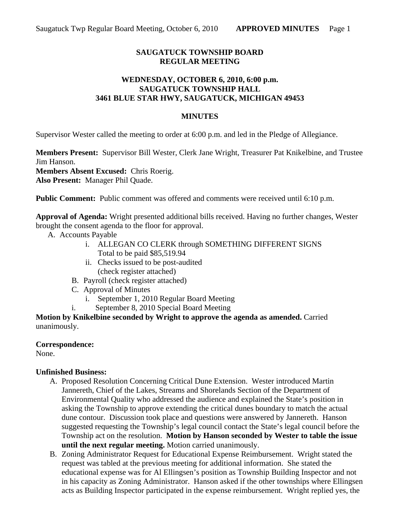# **SAUGATUCK TOWNSHIP BOARD REGULAR MEETING**

## **WEDNESDAY, OCTOBER 6, 2010, 6:00 p.m. SAUGATUCK TOWNSHIP HALL 3461 BLUE STAR HWY, SAUGATUCK, MICHIGAN 49453**

#### **MINUTES**

Supervisor Wester called the meeting to order at 6:00 p.m. and led in the Pledge of Allegiance.

**Members Present:** Supervisor Bill Wester, Clerk Jane Wright, Treasurer Pat Knikelbine, and Trustee Jim Hanson. **Members Absent Excused:** Chris Roerig.

**Also Present:** Manager Phil Quade.

**Public Comment:** Public comment was offered and comments were received until 6:10 p.m.

**Approval of Agenda:** Wright presented additional bills received. Having no further changes, Wester brought the consent agenda to the floor for approval.

- A. Accounts Payable
	- i. ALLEGAN CO CLERK through SOMETHING DIFFERENT SIGNS Total to be paid \$85,519.94
	- ii. Checks issued to be post-audited (check register attached)
	- B. Payroll (check register attached)
	- C. Approval of Minutes
		- i. September 1, 2010 Regular Board Meeting
	- i. September 8, 2010 Special Board Meeting

**Motion by Knikelbine seconded by Wright to approve the agenda as amended.** Carried unanimously.

#### **Correspondence:**

None.

# **Unfinished Business:**

- A. Proposed Resolution Concerning Critical Dune Extension. Wester introduced Martin Jannereth, Chief of the Lakes, Streams and Shorelands Section of the Department of Environmental Quality who addressed the audience and explained the State's position in asking the Township to approve extending the critical dunes boundary to match the actual dune contour. Discussion took place and questions were answered by Jannereth. Hanson suggested requesting the Township's legal council contact the State's legal council before the Township act on the resolution. **Motion by Hanson seconded by Wester to table the issue until the next regular meeting.** Motion carried unanimously.
- B. Zoning Administrator Request for Educational Expense Reimbursement. Wright stated the request was tabled at the previous meeting for additional information. She stated the educational expense was for Al Ellingsen's position as Township Building Inspector and not in his capacity as Zoning Administrator. Hanson asked if the other townships where Ellingsen acts as Building Inspector participated in the expense reimbursement. Wright replied yes, the